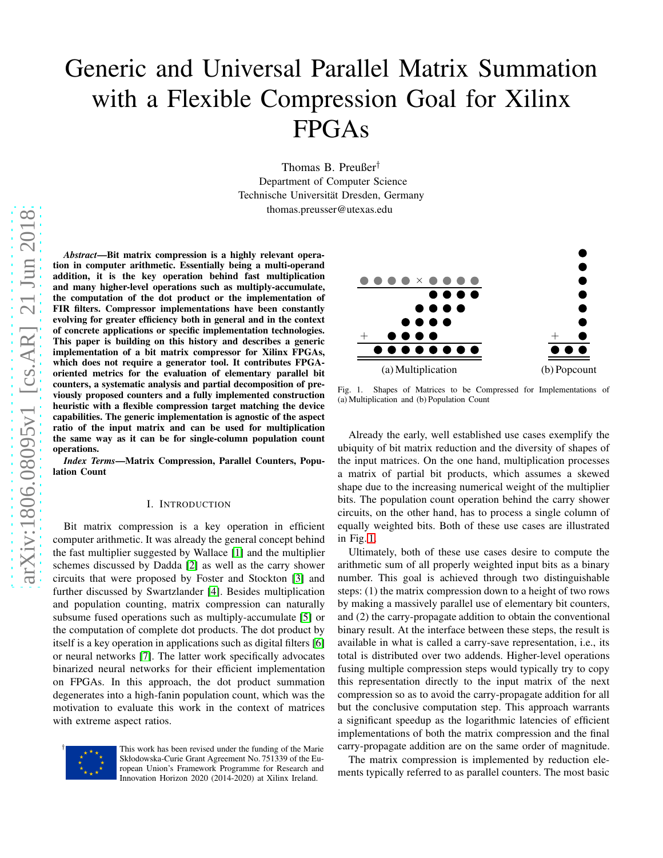# Generic and Universal Parallel Matrix Summation with a Flexible Compression Goal for Xilinx FPGAs

Thomas B. Preußer† Department of Computer Science Technische Universität Dresden, Germany thomas.preusser@utexas.edu

arXiv:1806.08095v1 [cs.AR] 21 Jun 2018 [arXiv:1806.08095v1 \[cs.AR\] 21 Jun 2018](http://arxiv.org/abs/1806.08095v1)

*Abstract*—Bit matrix compression is a highly relevant operation in computer arithmetic. Essentially being a multi-operand addition, it is the key operation behind fast multiplication and many higher-level operations such as multiply-accumulate, the computation of the dot product or the implementation of FIR filters. Compressor implementations have been constantly evolving for greater efficiency both in general and in the context of concrete applications or specific implementation technologies. This paper is building on this history and describes a generic implementation of a bit matrix compressor for Xilinx FPGAs, which does not require a generator tool. It contributes FPGAoriented metrics for the evaluation of elementary parallel bit counters, a systematic analysis and partial decomposition of previously proposed counters and a fully implemented construction heuristic with a flexible compression target matching the device capabilities. The generic implementation is agnostic of the aspect ratio of the input matrix and can be used for multiplication the same way as it can be for single-column population count operations.

*Index Terms*—Matrix Compression, Parallel Counters, Population Count

## I. INTRODUCTION

Bit matrix compression is a key operation in efficient computer arithmetic. It was already the general concept behind the fast multiplier suggested by Wallace [\[1\]](#page-7-0) and the multiplier schemes discussed by Dadda [\[2\]](#page-7-1) as well as the carry shower circuits that were proposed by Foster and Stockton [\[3\]](#page-7-2) and further discussed by Swartzlander [\[4\]](#page-7-3). Besides multiplication and population counting, matrix compression can naturally subsume fused operations such as multiply-accumulate [\[5\]](#page-7-4) or the computation of complete dot products. The dot product by itself is a key operation in applications such as digital filters [\[6\]](#page-7-5) or neural networks [\[7\]](#page-7-6). The latter work specifically advocates binarized neural networks for their efficient implementation on FPGAs. In this approach, the dot product summation degenerates into a high-fanin population count, which was the motivation to evaluate this work in the context of matrices with extreme aspect ratios.



This work has been revised under the funding of the Marie Skłodowska-Curie Grant Agreement No. 751339 of the European Union's Framework Programme for Research and Innovation Horizon 2020 (2014-2020) at Xilinx Ireland.



<span id="page-0-0"></span>Fig. 1. Shapes of Matrices to be Compressed for Implementations of (a) Multiplication and (b) Population Count

Already the early, well established use cases exemplify the ubiquity of bit matrix reduction and the diversity of shapes of the input matrices. On the one hand, multiplication processes a matrix of partial bit products, which assumes a skewed shape due to the increasing numerical weight of the multiplier bits. The population count operation behind the carry shower circuits, on the other hand, has to process a single column of equally weighted bits. Both of these use cases are illustrated in Fig. [1.](#page-0-0)

Ultimately, both of these use cases desire to compute the arithmetic sum of all properly weighted input bits as a binary number. This goal is achieved through two distinguishable steps: (1) the matrix compression down to a height of two rows by making a massively parallel use of elementary bit counters, and (2) the carry-propagate addition to obtain the conventional binary result. At the interface between these steps, the result is available in what is called a carry-save representation, i.e., its total is distributed over two addends. Higher-level operations fusing multiple compression steps would typically try to copy this representation directly to the input matrix of the next compression so as to avoid the carry-propagate addition for all but the conclusive computation step. This approach warrants a significant speedup as the logarithmic latencies of efficient implementations of both the matrix compression and the final carry-propagate addition are on the same order of magnitude.

The matrix compression is implemented by reduction elements typically referred to as parallel counters. The most basic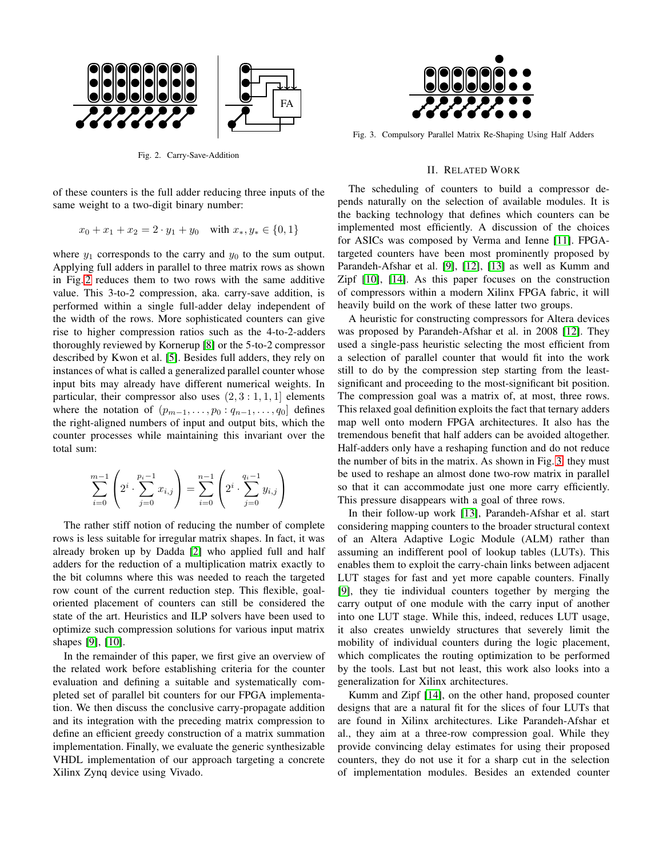

<span id="page-1-0"></span>Fig. 2. Carry-Save-Addition

of these counters is the full adder reducing three inputs of the same weight to a two-digit binary number:

$$
x_0 + x_1 + x_2 = 2 \cdot y_1 + y_0
$$
 with  $x_*, y_* \in \{0, 1\}$ 

where  $y_1$  corresponds to the carry and  $y_0$  to the sum output. Applying full adders in parallel to three matrix rows as shown in Fig. [2](#page-1-0) reduces them to two rows with the same additive value. This 3-to-2 compression, aka. carry-save addition, is performed within a single full-adder delay independent of the width of the rows. More sophisticated counters can give rise to higher compression ratios such as the 4-to-2-adders thoroughly reviewed by Kornerup [\[8\]](#page-7-7) or the 5-to-2 compressor described by Kwon et al. [\[5\]](#page-7-4). Besides full adders, they rely on instances of what is called a generalized parallel counter whose input bits may already have different numerical weights. In particular, their compressor also uses  $(2, 3 : 1, 1, 1]$  elements where the notation of  $(p_{m-1}, \ldots, p_0 : q_{n-1}, \ldots, q_0]$  defines the right-aligned numbers of input and output bits, which the counter processes while maintaining this invariant over the total sum:

$$
\sum_{i=0}^{m-1} \left( 2^i \cdot \sum_{j=0}^{p_i-1} x_{i,j} \right) = \sum_{i=0}^{n-1} \left( 2^i \cdot \sum_{j=0}^{q_i-1} y_{i,j} \right)
$$

The rather stiff notion of reducing the number of complete rows is less suitable for irregular matrix shapes. In fact, it was already broken up by Dadda [\[2\]](#page-7-1) who applied full and half adders for the reduction of a multiplication matrix exactly to the bit columns where this was needed to reach the targeted row count of the current reduction step. This flexible, goaloriented placement of counters can still be considered the state of the art. Heuristics and ILP solvers have been used to optimize such compression solutions for various input matrix shapes [\[9\]](#page-7-8), [\[10\]](#page-7-9).

In the remainder of this paper, we first give an overview of the related work before establishing criteria for the counter evaluation and defining a suitable and systematically completed set of parallel bit counters for our FPGA implementation. We then discuss the conclusive carry-propagate addition and its integration with the preceding matrix compression to define an efficient greedy construction of a matrix summation implementation. Finally, we evaluate the generic synthesizable VHDL implementation of our approach targeting a concrete Xilinx Zynq device using Vivado.



<span id="page-1-1"></span>Fig. 3. Compulsory Parallel Matrix Re-Shaping Using Half Adders

#### II. RELATED WORK

The scheduling of counters to build a compressor depends naturally on the selection of available modules. It is the backing technology that defines which counters can be implemented most efficiently. A discussion of the choices for ASICs was composed by Verma and Ienne [\[11\]](#page-7-10). FPGAtargeted counters have been most prominently proposed by Parandeh-Afshar et al. [\[9\]](#page-7-8), [\[12\]](#page-7-11), [\[13\]](#page-7-12) as well as Kumm and Zipf [\[10\]](#page-7-9), [\[14\]](#page-7-13). As this paper focuses on the construction of compressors within a modern Xilinx FPGA fabric, it will heavily build on the work of these latter two groups.

A heuristic for constructing compressors for Altera devices was proposed by Parandeh-Afshar et al. in 2008 [\[12\]](#page-7-11). They used a single-pass heuristic selecting the most efficient from a selection of parallel counter that would fit into the work still to do by the compression step starting from the leastsignificant and proceeding to the most-significant bit position. The compression goal was a matrix of, at most, three rows. This relaxed goal definition exploits the fact that ternary adders map well onto modern FPGA architectures. It also has the tremendous benefit that half adders can be avoided altogether. Half-adders only have a reshaping function and do not reduce the number of bits in the matrix. As shown in Fig. [3,](#page-1-1) they must be used to reshape an almost done two-row matrix in parallel so that it can accommodate just one more carry efficiently. This pressure disappears with a goal of three rows.

In their follow-up work [\[13\]](#page-7-12), Parandeh-Afshar et al. start considering mapping counters to the broader structural context of an Altera Adaptive Logic Module (ALM) rather than assuming an indifferent pool of lookup tables (LUTs). This enables them to exploit the carry-chain links between adjacent LUT stages for fast and yet more capable counters. Finally [\[9\]](#page-7-8), they tie individual counters together by merging the carry output of one module with the carry input of another into one LUT stage. While this, indeed, reduces LUT usage, it also creates unwieldy structures that severely limit the mobility of individual counters during the logic placement, which complicates the routing optimization to be performed by the tools. Last but not least, this work also looks into a generalization for Xilinx architectures.

Kumm and Zipf [\[14\]](#page-7-13), on the other hand, proposed counter designs that are a natural fit for the slices of four LUTs that are found in Xilinx architectures. Like Parandeh-Afshar et al., they aim at a three-row compression goal. While they provide convincing delay estimates for using their proposed counters, they do not use it for a sharp cut in the selection of implementation modules. Besides an extended counter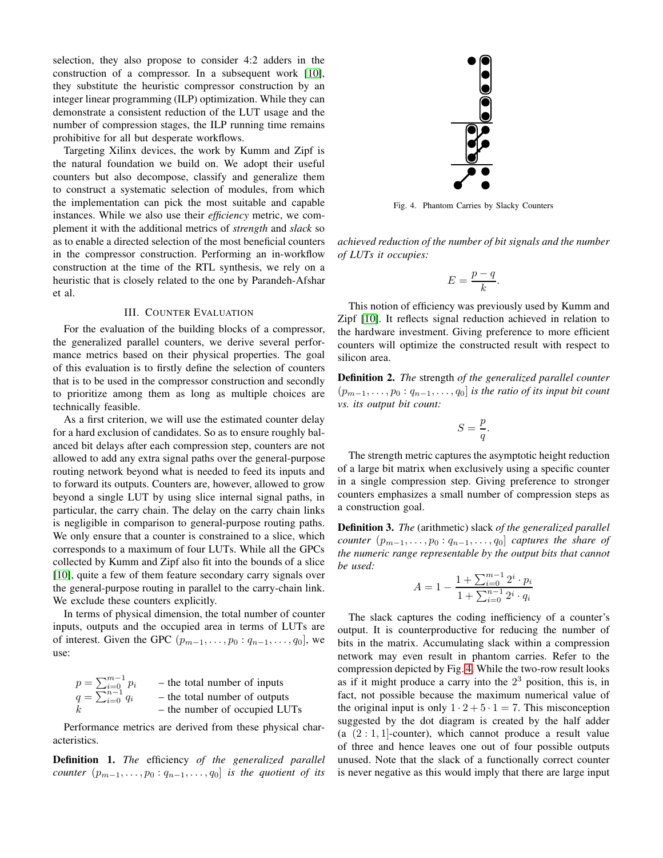selection, they also propose to consider 4:2 adders in the construction of a compressor. In a subsequent work [\[10\]](#page-7-9), they substitute the heuristic compressor construction by an integer linear programming (ILP) optimization. While they can demonstrate a consistent reduction of the LUT usage and the number of compression stages, the ILP running time remains prohibitive for all but desperate workflows.

Targeting Xilinx devices, the work by Kumm and Zipf is the natural foundation we build on. We adopt their useful counters but also decompose, classify and generalize them to construct a systematic selection of modules, from which the implementation can pick the most suitable and capable instances. While we also use their *efficiency* metric, we complement it with the additional metrics of *strength* and *slack* so as to enable a directed selection of the most beneficial counters in the compressor construction. Performing an in-workflow construction at the time of the RTL synthesis, we rely on a heuristic that is closely related to the one by Parandeh-Afshar et al.

## III. COUNTER EVALUATION

For the evaluation of the building blocks of a compressor, the generalized parallel counters, we derive several performance metrics based on their physical properties. The goal of this evaluation is to firstly define the selection of counters that is to be used in the compressor construction and secondly to prioritize among them as long as multiple choices are technically feasible.

As a first criterion, we will use the estimated counter delay for a hard exclusion of candidates. So as to ensure roughly balanced bit delays after each compression step, counters are not allowed to add any extra signal paths over the general-purpose routing network beyond what is needed to feed its inputs and to forward its outputs. Counters are, however, allowed to grow beyond a single LUT by using slice internal signal paths, in particular, the carry chain. The delay on the carry chain links is negligible in comparison to general-purpose routing paths. We only ensure that a counter is constrained to a slice, which corresponds to a maximum of four LUTs. While all the GPCs collected by Kumm and Zipf also fit into the bounds of a slice [\[10\]](#page-7-9), quite a few of them feature secondary carry signals over the general-purpose routing in parallel to the carry-chain link. We exclude these counters explicitly.

In terms of physical dimension, the total number of counter inputs, outputs and the occupied area in terms of LUTs are of interest. Given the GPC  $(p_{m-1}, \ldots, p_0 : q_{n-1}, \ldots, q_0]$ , we use:

| $p = \sum_{i=0}^{m-1} p_i$<br>$q = \sum_{i=0}^{n-1} q_i$ | - the total number of inputs  |
|----------------------------------------------------------|-------------------------------|
|                                                          | - the total number of outputs |
| k                                                        | - the number of occupied LUTs |

Performance metrics are derived from these physical characteristics.

Definition 1. *The* efficiency *of the generalized parallel counter*  $(p_{m-1}, \ldots, p_0 : q_{n-1}, \ldots, q_0]$  *is the quotient of its* 



<span id="page-2-0"></span>Fig. 4. Phantom Carries by Slacky Counters

*achieved reduction of the number of bit signals and the number of LUTs it occupies:*

$$
E = \frac{p - q}{k}.
$$

This notion of efficiency was previously used by Kumm and Zipf [\[10\]](#page-7-9). It reflects signal reduction achieved in relation to the hardware investment. Giving preference to more efficient counters will optimize the constructed result with respect to silicon area.

Definition 2. *The* strength *of the generalized parallel counter*  $(p_{m-1}, \ldots, p_0 : q_{n-1}, \ldots, q_0]$  *is the ratio of its input bit count vs. its output bit count:*

$$
S = \frac{p}{q}.
$$

The strength metric captures the asymptotic height reduction of a large bit matrix when exclusively using a specific counter in a single compression step. Giving preference to stronger counters emphasizes a small number of compression steps as a construction goal.

Definition 3. *The* (arithmetic) slack *of the generalized parallel counter*  $(p_{m-1}, \ldots, p_0 : q_{n-1}, \ldots, q_0]$  *captures the share of the numeric range representable by the output bits that cannot be used:*

$$
A = 1 - \frac{1 + \sum_{i=0}^{m-1} 2^i \cdot p_i}{1 + \sum_{i=0}^{n-1} 2^i \cdot q_i}
$$

The slack captures the coding inefficiency of a counter's output. It is counterproductive for reducing the number of bits in the matrix. Accumulating slack within a compression network may even result in phantom carries. Refer to the compression depicted by Fig. [4.](#page-2-0) While the two-row result looks as if it might produce a carry into the  $2<sup>3</sup>$  position, this is, in fact, not possible because the maximum numerical value of the original input is only  $1 \cdot 2 + 5 \cdot 1 = 7$ . This misconception suggested by the dot diagram is created by the half adder  $(a (2:1,1]$ -counter), which cannot produce a result value of three and hence leaves one out of four possible outputs unused. Note that the slack of a functionally correct counter is never negative as this would imply that there are large input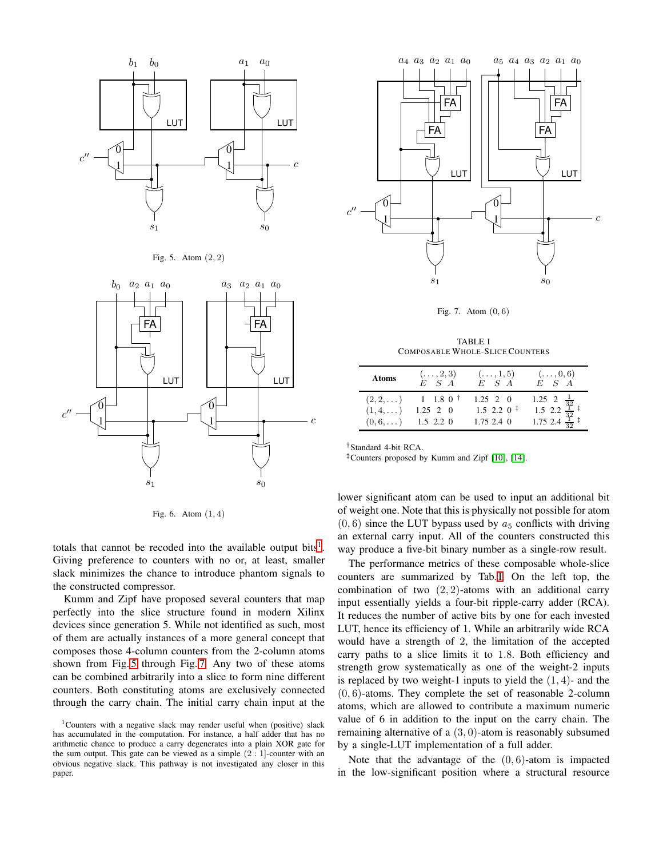

<span id="page-3-1"></span>Fig. 5. Atom (2, 2)



Fig. 6. Atom (1, 4)

totals that cannot be recoded into the available output bits<sup>[1](#page-3-0)</sup>. Giving preference to counters with no or, at least, smaller slack minimizes the chance to introduce phantom signals to the constructed compressor.

Kumm and Zipf have proposed several counters that map perfectly into the slice structure found in modern Xilinx devices since generation 5. While not identified as such, most of them are actually instances of a more general concept that composes those 4-column counters from the 2-column atoms shown from Fig. [5](#page-3-1) through Fig. [7.](#page-3-2) Any two of these atoms can be combined arbitrarily into a slice to form nine different counters. Both constituting atoms are exclusively connected through the carry chain. The initial carry chain input at the



<span id="page-3-2"></span>Fig. 7. Atom (0, 6)

TABLE I COMPOSABLE WHOLE-SLICE COUNTERS

<span id="page-3-3"></span>

| <b>Atoms</b>    | $(\ldots,2,3)$         | (, 1, 5)               | $( \ldots, 0, 6)$                                                              |
|-----------------|------------------------|------------------------|--------------------------------------------------------------------------------|
|                 | $E$ $S$ $A$            | $E$ $S$ $A$            | $E$ $S$ $A$                                                                    |
| (2, 2, )        | $1 \t1.80^{\dagger}$   | $1.25 \quad 2 \quad 0$ | 1.25 2 $\frac{1}{32}$<br>1.5 2.2 $\frac{1}{32}$ ‡<br>1.75 2.4 $\frac{1}{32}$ ‡ |
| $(1, 4, \dots)$ | $1.25 \quad 2 \quad 0$ | $1.5$ 2.2 0 $\pm$      |                                                                                |
| $(0,6,\dots)$   | $1.5$ 2.2 0            | $1.75$ 2.4 0           |                                                                                |

†Standard 4-bit RCA.

‡Counters proposed by Kumm and Zipf [\[10\]](#page-7-9), [\[14\]](#page-7-13).

lower significant atom can be used to input an additional bit of weight one. Note that this is physically not possible for atom  $(0, 6)$  since the LUT bypass used by  $a_5$  conflicts with driving an external carry input. All of the counters constructed this way produce a five-bit binary number as a single-row result.

The performance metrics of these composable whole-slice counters are summarized by Tab. [I.](#page-3-3) On the left top, the combination of two  $(2, 2)$ -atoms with an additional carry input essentially yields a four-bit ripple-carry adder (RCA). It reduces the number of active bits by one for each invested LUT, hence its efficiency of 1. While an arbitrarily wide RCA would have a strength of 2, the limitation of the accepted carry paths to a slice limits it to 1.8. Both efficiency and strength grow systematically as one of the weight-2 inputs is replaced by two weight-1 inputs to yield the  $(1, 4)$ - and the  $(0, 6)$ -atoms. They complete the set of reasonable 2-column atoms, which are allowed to contribute a maximum numeric value of 6 in addition to the input on the carry chain. The remaining alternative of a  $(3,0)$ -atom is reasonably subsumed by a single-LUT implementation of a full adder.

Note that the advantage of the  $(0, 6)$ -atom is impacted in the low-significant position where a structural resource

<span id="page-3-0"></span><sup>&</sup>lt;sup>1</sup>Counters with a negative slack may render useful when (positive) slack has accumulated in the computation. For instance, a half adder that has no arithmetic chance to produce a carry degenerates into a plain XOR gate for the sum output. This gate can be viewed as a simple  $(2:1]$ -counter with an obvious negative slack. This pathway is not investigated any closer in this paper.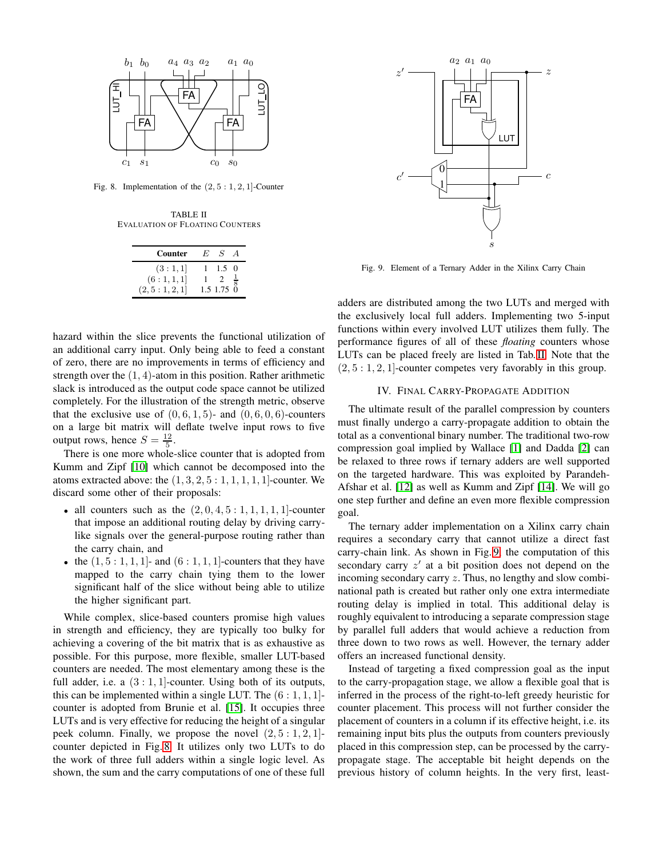

<span id="page-4-1"></span>Fig. 8. Implementation of the  $(2, 5 : 1, 2, 1]$ -Counter

<span id="page-4-0"></span>TABLE II EVALUATION OF FLOATING COUNTERS

| <b>Counter</b>                          | S<br>E.                                                         |
|-----------------------------------------|-----------------------------------------------------------------|
| (3:1,1]<br>(6:1,1,1]<br>(2, 5: 1, 2, 1] | $1.5 \quad 0$<br>$\frac{1}{1.5}$ $\frac{2}{1.75}$ $\frac{1}{8}$ |

hazard within the slice prevents the functional utilization of an additional carry input. Only being able to feed a constant of zero, there are no improvements in terms of efficiency and strength over the  $(1, 4)$ -atom in this position. Rather arithmetic slack is introduced as the output code space cannot be utilized completely. For the illustration of the strength metric, observe that the exclusive use of  $(0, 6, 1, 5)$ - and  $(0, 6, 0, 6)$ -counters on a large bit matrix will deflate twelve input rows to five output rows, hence  $S = \frac{12}{5}$ .

There is one more whole-slice counter that is adopted from Kumm and Zipf [\[10\]](#page-7-9) which cannot be decomposed into the atoms extracted above: the  $(1, 3, 2, 5: 1, 1, 1, 1, 1]$ -counter. We discard some other of their proposals:

- all counters such as the  $(2, 0, 4, 5 : 1, 1, 1, 1, 1]$ -counter that impose an additional routing delay by driving carrylike signals over the general-purpose routing rather than the carry chain, and
- the  $(1, 5 : 1, 1, 1]$  and  $(6 : 1, 1, 1]$ -counters that they have mapped to the carry chain tying them to the lower significant half of the slice without being able to utilize the higher significant part.

While complex, slice-based counters promise high values in strength and efficiency, they are typically too bulky for achieving a covering of the bit matrix that is as exhaustive as possible. For this purpose, more flexible, smaller LUT-based counters are needed. The most elementary among these is the full adder, i.e. a  $(3:1,1]$ -counter. Using both of its outputs, this can be implemented within a single LUT. The  $(6:1,1,1]$ counter is adopted from Brunie et al. [\[15\]](#page-7-14). It occupies three LUTs and is very effective for reducing the height of a singular peek column. Finally, we propose the novel  $(2, 5 : 1, 2, 1]$ counter depicted in Fig. [8.](#page-4-0) It utilizes only two LUTs to do the work of three full adders within a single logic level. As shown, the sum and the carry computations of one of these full



<span id="page-4-2"></span>Fig. 9. Element of a Ternary Adder in the Xilinx Carry Chain

adders are distributed among the two LUTs and merged with the exclusively local full adders. Implementing two 5-input functions within every involved LUT utilizes them fully. The performance figures of all of these *floating* counters whose LUTs can be placed freely are listed in Tab. [II.](#page-4-1) Note that the  $(2, 5 : 1, 2, 1]$ -counter competes very favorably in this group.

#### IV. FINAL CARRY-PROPAGATE ADDITION

The ultimate result of the parallel compression by counters must finally undergo a carry-propagate addition to obtain the total as a conventional binary number. The traditional two-row compression goal implied by Wallace [\[1\]](#page-7-0) and Dadda [\[2\]](#page-7-1) can be relaxed to three rows if ternary adders are well supported on the targeted hardware. This was exploited by Parandeh-Afshar et al. [\[12\]](#page-7-11) as well as Kumm and Zipf [\[14\]](#page-7-13). We will go one step further and define an even more flexible compression goal.

The ternary adder implementation on a Xilinx carry chain requires a secondary carry that cannot utilize a direct fast carry-chain link. As shown in Fig. [9,](#page-4-2) the computation of this secondary carry  $z'$  at a bit position does not depend on the incoming secondary carry z. Thus, no lengthy and slow combinational path is created but rather only one extra intermediate routing delay is implied in total. This additional delay is roughly equivalent to introducing a separate compression stage by parallel full adders that would achieve a reduction from three down to two rows as well. However, the ternary adder offers an increased functional density.

Instead of targeting a fixed compression goal as the input to the carry-propagation stage, we allow a flexible goal that is inferred in the process of the right-to-left greedy heuristic for counter placement. This process will not further consider the placement of counters in a column if its effective height, i.e. its remaining input bits plus the outputs from counters previously placed in this compression step, can be processed by the carrypropagate stage. The acceptable bit height depends on the previous history of column heights. In the very first, least-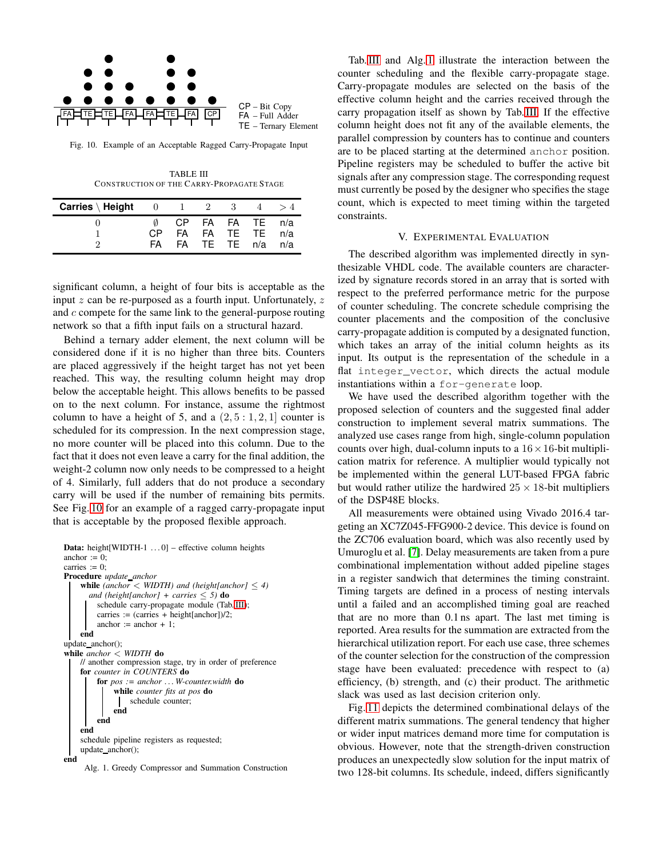

Fig. 10. Example of an Acceptable Ragged Carry-Propagate Input

<span id="page-5-0"></span>TABLE III CONSTRUCTION OF THE CARRY-PROPAGATE STAGE

<span id="page-5-1"></span>

| <b>Carries</b> Height $0 \t 1 \t 2 \t 3 \t 4 > 4$ |                        |  |                                                            |  |
|---------------------------------------------------|------------------------|--|------------------------------------------------------------|--|
|                                                   | $\Omega$<br>CP.<br>FA. |  | CP FA FA TE n/a<br>FA FA TE TE n/a<br>FA TE TE $n/a$ $n/a$ |  |

significant column, a height of four bits is acceptable as the input  $z$  can be re-purposed as a fourth input. Unfortunately,  $z$ and c compete for the same link to the general-purpose routing network so that a fifth input fails on a structural hazard.

Behind a ternary adder element, the next column will be considered done if it is no higher than three bits. Counters are placed aggressively if the height target has not yet been reached. This way, the resulting column height may drop below the acceptable height. This allows benefits to be passed on to the next column. For instance, assume the rightmost column to have a height of 5, and a  $(2, 5 : 1, 2, 1]$  counter is scheduled for its compression. In the next compression stage, no more counter will be placed into this column. Due to the fact that it does not even leave a carry for the final addition, the weight-2 column now only needs to be compressed to a height of 4. Similarly, full adders that do not produce a secondary carry will be used if the number of remaining bits permits. See Fig. [10](#page-5-0) for an example of a ragged carry-propagate input that is acceptable by the proposed flexible approach.

```
Data: height[WIDTH-1 \dots0] – effective column heights
anchor := 0;
carries := 0:
Procedure update anchor
     while \left( \text{anchor} \right) \leq WIDTH) and \left( \text{height}[\text{anchor}] \leq 4 \right)and (height[anchor] + carries \leq 5) do
          schedule carry-propagate module (Tab. III);
          carries := (carries + height[anchor])/2;anchor := anchor +1;
     end
update anchor();
while anchor < WIDTH do
     // another compression stage, try in order of preference
     for counter in COUNTERS do
         for pos := anchor . . . W-counter.width do
               while counter fits at pos do
                  schedule counter;
              end
         end
     end
     schedule pipeline registers as requested;
     update anchor();
end
```
<span id="page-5-2"></span>Alg. 1. Greedy Compressor and Summation Construction

Tab. [III](#page-5-1) and Alg. [1](#page-5-2) illustrate the interaction between the counter scheduling and the flexible carry-propagate stage. Carry-propagate modules are selected on the basis of the effective column height and the carries received through the carry propagation itself as shown by Tab. [III.](#page-5-1) If the effective column height does not fit any of the available elements, the parallel compression by counters has to continue and counters are to be placed starting at the determined anchor position. Pipeline registers may be scheduled to buffer the active bit signals after any compression stage. The corresponding request must currently be posed by the designer who specifies the stage count, which is expected to meet timing within the targeted constraints.

## V. EXPERIMENTAL EVALUATION

The described algorithm was implemented directly in synthesizable VHDL code. The available counters are characterized by signature records stored in an array that is sorted with respect to the preferred performance metric for the purpose of counter scheduling. The concrete schedule comprising the counter placements and the composition of the conclusive carry-propagate addition is computed by a designated function, which takes an array of the initial column heights as its input. Its output is the representation of the schedule in a flat integer\_vector, which directs the actual module instantiations within a for-generate loop.

We have used the described algorithm together with the proposed selection of counters and the suggested final adder construction to implement several matrix summations. The analyzed use cases range from high, single-column population counts over high, dual-column inputs to a  $16 \times 16$ -bit multiplication matrix for reference. A multiplier would typically not be implemented within the general LUT-based FPGA fabric but would rather utilize the hardwired  $25 \times 18$ -bit multipliers of the DSP48E blocks.

All measurements were obtained using Vivado 2016.4 targeting an XC7Z045-FFG900-2 device. This device is found on the ZC706 evaluation board, which was also recently used by Umuroglu et al. [\[7\]](#page-7-6). Delay measurements are taken from a pure combinational implementation without added pipeline stages in a register sandwich that determines the timing constraint. Timing targets are defined in a process of nesting intervals until a failed and an accomplished timing goal are reached that are no more than 0.1 ns apart. The last met timing is reported. Area results for the summation are extracted from the hierarchical utilization report. For each use case, three schemes of the counter selection for the construction of the compression stage have been evaluated: precedence with respect to (a) efficiency, (b) strength, and (c) their product. The arithmetic slack was used as last decision criterion only.

Fig. [11](#page-6-0) depicts the determined combinational delays of the different matrix summations. The general tendency that higher or wider input matrices demand more time for computation is obvious. However, note that the strength-driven construction produces an unexpectedly slow solution for the input matrix of two 128-bit columns. Its schedule, indeed, differs significantly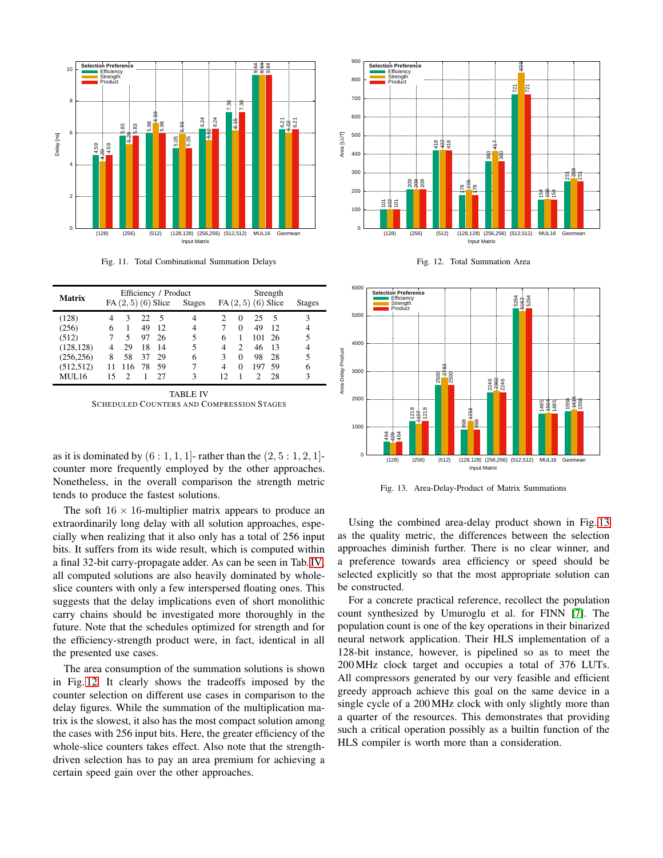

<span id="page-6-0"></span>Fig. 11. Total Combinational Summation Delays

| <b>Matrix</b> |    | FA $(2, 5)$ $(6)$ Slice |     | Efficiency / Product | <b>Stages</b> |    |                | FA $(2, 5)$ $(6)$ Slice | Strength | <b>Stages</b> |
|---------------|----|-------------------------|-----|----------------------|---------------|----|----------------|-------------------------|----------|---------------|
| (128)         |    | 3                       | 22. | 5                    | 4             |    | 0              | 25                      | 5        | 3             |
| (256)         | 6  |                         | 49  | 12                   | 4             |    | 0              | 49                      | 12       | 4             |
| (512)         |    | 5                       | 97  | 26                   | 5             | 6  |                | 101                     | 26       | 5             |
| (128, 128)    |    | 29                      | 18  | 14                   | 5             | 4  | $\mathfrak{D}$ | 46                      | 13       | 4             |
| (256, 256)    | 8  | 58                      | 37  | 29                   | 6             | 3  | 0              | 98                      | 28       | 5             |
| (512, 512)    |    | 116                     | 78  | 59                   |               | 4  | 0              | 197                     | 59       | 6             |
| MUL16         | 15 | 2                       |     | 27                   | 3             | 12 |                | 2                       | 28       | 3             |
|               |    |                         |     |                      |               |    |                |                         |          |               |

<span id="page-6-1"></span>

| TADIJE I V |                                                  |
|------------|--------------------------------------------------|
|            | <b>SCHEDULED COUNTERS AND COMPRESSION STAGES</b> |

as it is dominated by  $(6:1, 1, 1]$ - rather than the  $(2, 5:1, 2, 1]$ counter more frequently employed by the other approaches. Nonetheless, in the overall comparison the strength metric tends to produce the fastest solutions.

The soft  $16 \times 16$ -multiplier matrix appears to produce an extraordinarily long delay with all solution approaches, especially when realizing that it also only has a total of 256 input bits. It suffers from its wide result, which is computed within a final 32-bit carry-propagate adder. As can be seen in Tab. [IV,](#page-6-1) all computed solutions are also heavily dominated by wholeslice counters with only a few interspersed floating ones. This suggests that the delay implications even of short monolithic carry chains should be investigated more thoroughly in the future. Note that the schedules optimized for strength and for the efficiency-strength product were, in fact, identical in all the presented use cases.

The area consumption of the summation solutions is shown in Fig. [12.](#page-6-2) It clearly shows the tradeoffs imposed by the counter selection on different use cases in comparison to the delay figures. While the summation of the multiplication matrix is the slowest, it also has the most compact solution among the cases with 256 input bits. Here, the greater efficiency of the whole-slice counters takes effect. Also note that the strengthdriven selection has to pay an area premium for achieving a certain speed gain over the other approaches.



<span id="page-6-2"></span>Fig. 12. Total Summation Area



<span id="page-6-3"></span>Fig. 13. Area-Delay-Product of Matrix Summations

Using the combined area-delay product shown in Fig. [13](#page-6-3) as the quality metric, the differences between the selection approaches diminish further. There is no clear winner, and a preference towards area efficiency or speed should be selected explicitly so that the most appropriate solution can be constructed.

For a concrete practical reference, recollect the population count synthesized by Umuroglu et al. for FINN [\[7\]](#page-7-6). The population count is one of the key operations in their binarized neural network application. Their HLS implementation of a 128-bit instance, however, is pipelined so as to meet the 200 MHz clock target and occupies a total of 376 LUTs. All compressors generated by our very feasible and efficient greedy approach achieve this goal on the same device in a single cycle of a 200 MHz clock with only slightly more than a quarter of the resources. This demonstrates that providing such a critical operation possibly as a builtin function of the HLS compiler is worth more than a consideration.